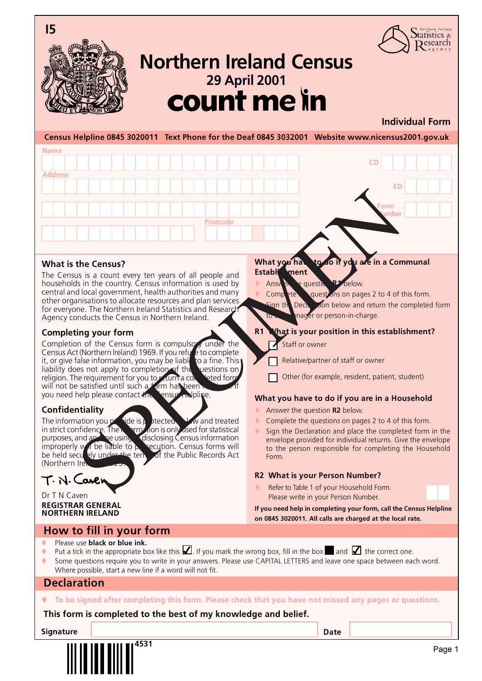



# <sup>29 April 2001</sup><br>**COUNT Me in Northern Ireland Census**



# **Individual Form**



# **What is the Census?**

The Census is a count every ten years of all people and households in the country. Census information is used by central and local government, health authorities and many other organisations to allocate resources and plan services for everyone. The Northern Ireland Statistics and Research Agency conducts the Census in Northern Ireland.

# **Completing your form**

Completion of the Census form is compulsory under the Census Act (Northern Ireland) 1969. If you reful a to complete Census Act (Northern Ireland) 1969. If you refu it, or give false information, you may be liable to a fine. This liability does not apply to completion of the questions on religion. The requirement for you to *r* during consider the form religion. The requirement for you to return a complete will not be satisfied until such a form has been you need help please contact the Census Helpline.

# **Confidentiality**

The information you provide is protected by and treated<br>in strict confidence. The same don is only used for statistical in a lon is only used for statistical purposes, and any see using consisting Census information improperly will be liable to provecution. Census forms will be held securely under the term of the Public Records Act be held securely under the term (Northern Irel



#### Dr T N Caven **REGISTRAR GENERAL NORTHERN IRELAND**

# **How to fill in your form**

- What you have to do if you are in a Communal **Establi**ment
	- Answer **R1** below

Complete questions on pages 2 to 4 of this form.  $t$  ign the Declaration below and return the completed form mager or person-in-charge.

## **R1 What is your position in this establishment?**

- Staff or owner
- Relative/partner of staff or owner
- Other (for example, resident, patient, student)

## **What you have to do if you are in a Household**

- Answer the question **R2** below.
- Complete the questions on pages 2 to 4 of this form.
- Sign the Declaration and place the completed form in the envelope provided for individual returns. Give the envelope to the person responsible for completing the Household Form.

## **R2 What is your Person Number?**

Refer to Table 1 of your Household Form. Please write in your Person Number.

**If you need help in completing your form, call the Census Helpline on 0845 3020011. All calls are charged at the local rate.**

- ◆ **Please use black or blue ink.**
- Put a tick in the appropriate box like this  $\Box$ . If you mark the wrong box, fill in the box and  $\Box$  the correct one.
- Some questions require you to write in your answers. Please use CAPITAL LETTERS and leave one space between each word. Where possible, start a new line if a word will not fit.

# **Declaration**

t **To be signed after completing this form. Please check that you have not missed any pages or questions.**

## **This form is completed to the best of my knowledge and belief.**

**Signature Date** 

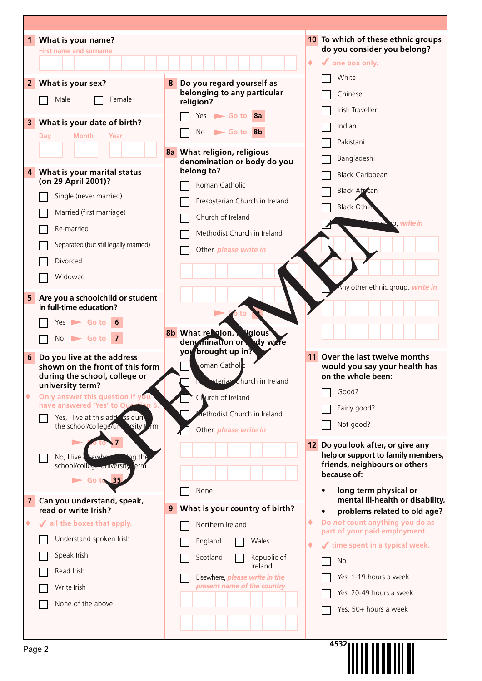| What is your name?<br>$\mathbf{1}$<br><b>First name and surname</b>           |                                                            | 10 To which of these ethnic groups<br>do you consider you belong?     |
|-------------------------------------------------------------------------------|------------------------------------------------------------|-----------------------------------------------------------------------|
|                                                                               |                                                            | ۰<br>$\checkmark$ one box only.                                       |
| What is your sex?<br>2 <sup>1</sup>                                           | Do you regard yourself as<br>8                             | White                                                                 |
| Male<br>Female                                                                | belonging to any particular                                | Chinese                                                               |
|                                                                               | religion?<br>Go to 8a<br>Yes                               | Irish Traveller                                                       |
| What is your date of birth?<br>3                                              | Go to 8b<br><b>No</b>                                      | Indian                                                                |
| <b>Month</b><br>Day<br>Year                                                   |                                                            | Pakistani                                                             |
|                                                                               | 8a What religion, religious<br>denomination or body do you | Bangladeshi                                                           |
| What is your marital status<br>4                                              | belong to?                                                 | Black Caribbean                                                       |
| (on 29 April 2001)?<br>Single (never married)                                 | Roman Catholic                                             | Black African                                                         |
| Married (first marriage)                                                      | Presbyterian Church in Ireland                             | <b>Black Othe</b>                                                     |
| Re-married                                                                    | Church of Ireland                                          | vo, write in                                                          |
|                                                                               | Methodist Church in Ireland                                |                                                                       |
| Separated (but still legally married)<br>Divorced                             | Other, please write in                                     |                                                                       |
| Widowed                                                                       |                                                            |                                                                       |
|                                                                               |                                                            | Any other ethnic group, write in                                      |
| 5 <sub>1</sub><br>Are you a schoolchild or student<br>in full-time education? |                                                            |                                                                       |
| $Yes$ Go to $6$                                                               |                                                            |                                                                       |
| $No \rightharpoonup Go$ to 7                                                  | <b>Nigious</b><br><b>8b</b> What religion,                 |                                                                       |
| 6<br>Do you live at the address                                               | dengmination or<br>dy were<br>you brought up in?           | 11 Over the last twelve months                                        |
| shown on the front of this form                                               | Roman Catholic                                             | would you say your health has                                         |
| during the school, college or<br>university term?                             | vterjan Church in Ireland                                  | on the whole been:                                                    |
| Only answer this question if you<br>٠<br>have answered 'Yes' to Qu            | Courch of Ireland                                          | Good?                                                                 |
| Yes, I live at this add ss duri                                               | rethodist Church in Ireland                                | Fairly good?                                                          |
| the school/college/un<br><b>xsity</b> t<br>łm                                 | Other, please write in                                     | Not good?                                                             |
|                                                                               |                                                            | Do you look after, or give any<br>12 <sup>2</sup>                     |
| No, I live<br>ng the<br>ewb<br>school/collegeruniversity<br>erm               |                                                            | help or support to family members,<br>friends, neighbours or others   |
| Go to $35$                                                                    |                                                            | because of:                                                           |
| 7 <sup>1</sup><br>Can you understand, speak,                                  | None                                                       | long term physical or<br>mental ill-health or disability,             |
| read or write Irish?                                                          | 9 What is your country of birth?                           | problems related to old age?                                          |
| If all the boxes that apply.<br>٠                                             | Northern Ireland                                           | Do not count anything you do as<br>۰<br>part of your paid employment. |
| Understand spoken Irish                                                       | England<br>Wales                                           | time spent in a typical week.<br>٠                                    |
| Speak Irish                                                                   | Republic of<br>Scotland<br>Ireland                         | No                                                                    |
| Read Irish                                                                    | Elsewhere, <i>please write in the</i>                      | Yes, 1-19 hours a week                                                |
| Write Irish                                                                   | present name of the country                                | Yes, 20-49 hours a week                                               |
| None of the above                                                             |                                                            | Yes, 50+ hours a week                                                 |
|                                                                               |                                                            |                                                                       |
|                                                                               |                                                            | 4532                                                                  |
| Page 2                                                                        |                                                            |                                                                       |
|                                                                               |                                                            |                                                                       |

٦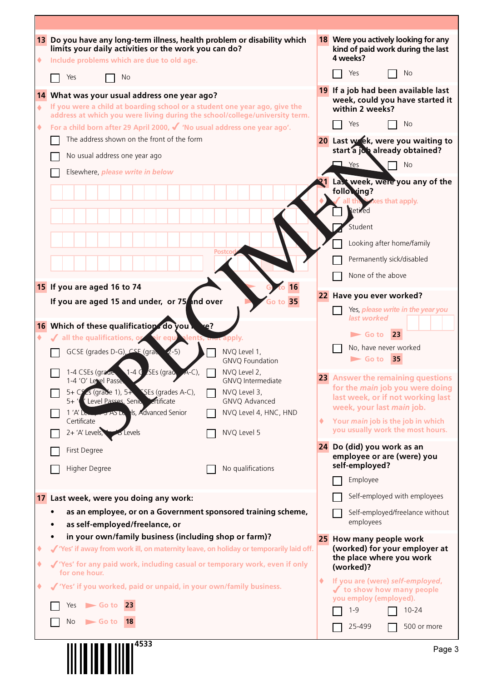| ۰                    | 13 Do you have any long-term illness, health problem or disability which<br>limits your daily activities or the work you can do?<br>Include problems which are due to old age.                                                                                                        |   | 18 Were you actively looking for any<br>kind of paid work during the last<br>4 weeks?<br>Yes<br>No            |
|----------------------|---------------------------------------------------------------------------------------------------------------------------------------------------------------------------------------------------------------------------------------------------------------------------------------|---|---------------------------------------------------------------------------------------------------------------|
|                      | Yes<br>No                                                                                                                                                                                                                                                                             |   |                                                                                                               |
| $\blacklozenge$<br>۰ | 14 What was your usual address one year ago?<br>If you were a child at boarding school or a student one year ago, give the<br>address at which you were living during the school/college/university term.<br>For a child born after 29 April 2000, √ 'No usual address one year ago'. |   | 19 If a job had been available last<br>week, could you have started it<br>within 2 weeks?<br>Yes<br><b>No</b> |
|                      | The address shown on the front of the form                                                                                                                                                                                                                                            |   | 20 Last w ek, were you waiting to                                                                             |
|                      | No usual address one year ago                                                                                                                                                                                                                                                         |   | start a job already obtained?                                                                                 |
|                      | Elsewhere, please write in below                                                                                                                                                                                                                                                      |   | Yes<br><b>No</b>                                                                                              |
|                      |                                                                                                                                                                                                                                                                                       |   | Last week, were you any of the<br>following?<br>all the boxes that apply.<br>Retired                          |
|                      |                                                                                                                                                                                                                                                                                       |   | Student                                                                                                       |
|                      |                                                                                                                                                                                                                                                                                       |   | Looking after home/family                                                                                     |
|                      | <b>Postcod</b>                                                                                                                                                                                                                                                                        |   | Permanently sick/disabled                                                                                     |
|                      |                                                                                                                                                                                                                                                                                       |   | None of the above                                                                                             |
|                      | 16<br>15 If you are aged 16 to 74                                                                                                                                                                                                                                                     |   | 22 Have you ever worked?                                                                                      |
|                      | Go to $35$<br>If you are aged 15 and under, or 75 and over                                                                                                                                                                                                                            |   | Yes, please write in the year you                                                                             |
|                      | 16 Which of these qualifications do you<br>e?                                                                                                                                                                                                                                         |   | last worked                                                                                                   |
| ٠                    | all the qualifications, or air equi<br>lents, that apply.                                                                                                                                                                                                                             |   | 23<br>$\blacktriangleright$ Go to                                                                             |
|                      | GCSE (grades D-G), CSE (grades)<br>$(2 - 5)$<br>NVQ Level 1,<br>GNVQ Foundation                                                                                                                                                                                                       |   | No, have never worked<br>$\blacktriangleright$ Go to<br>35                                                    |
|                      | $1-4C$ SEs (grad A-C),<br>1-4 CSEs (grade<br>NVQ Level 2,<br>GNVQ Intermediate<br>1-4 'O' Level Passe.                                                                                                                                                                                |   | 23 Answer the remaining questions                                                                             |
|                      | 5+ C <sup>o</sup> cs (grade 1), 5+ CSEs (grades A-C),<br>NVQ Level 3,<br>Level Passes, Senio entificate<br>GNVQ Advanced<br>$5 + '$                                                                                                                                                   |   | for the <i>main</i> job you were doing<br>last week, or if not working last                                   |
|                      | Is, Advanced Senior<br>$1'$ A' $\sim$<br>NVQ Level 4, HNC, HND<br><b>ASK</b><br>Certificate                                                                                                                                                                                           |   | week, your last main job.                                                                                     |
|                      | 2+ 'A' Levels,<br>NVQ Level 5<br><b>S</b> Levels                                                                                                                                                                                                                                      | ۰ | Your main job is the job in which<br>you usually work the most hours.                                         |
|                      | First Degree                                                                                                                                                                                                                                                                          |   | 24 Do (did) you work as an<br>employee or are (were) you                                                      |
|                      | No qualifications<br>Higher Degree                                                                                                                                                                                                                                                    |   | self-employed?                                                                                                |
|                      |                                                                                                                                                                                                                                                                                       |   | Employee                                                                                                      |
|                      | 17 Last week, were you doing any work:                                                                                                                                                                                                                                                |   | Self-employed with employees                                                                                  |
|                      | as an employee, or on a Government sponsored training scheme,<br>as self-employed/freelance, or                                                                                                                                                                                       |   | Self-employed/freelance without<br>employees                                                                  |
|                      | in your own/family business (including shop or farm)?                                                                                                                                                                                                                                 |   | 25 How many people work                                                                                       |
| ٠                    | 'Yes' if away from work ill, on maternity leave, on holiday or temporarily laid off.                                                                                                                                                                                                  |   | (worked) for your employer at<br>the place where you work                                                     |
| ٠                    | √ 'Yes' for any paid work, including casual or temporary work, even if only<br>for one hour.                                                                                                                                                                                          |   | (worked)?                                                                                                     |
| ٠                    | √ 'Yes' if you worked, paid or unpaid, in your own/family business.                                                                                                                                                                                                                   |   | If you are (were) self-employed,<br>✔ to show how many people<br>you employ (employed).                       |
|                      | $\blacktriangleright$ Go to 23<br>Yes                                                                                                                                                                                                                                                 |   | $1 - 9$<br>$10 - 24$                                                                                          |
|                      | No<br>$\blacktriangleright$ Go to<br>18                                                                                                                                                                                                                                               |   | 25-499<br>500 or more                                                                                         |
|                      | 4533                                                                                                                                                                                                                                                                                  |   | Page:                                                                                                         |
|                      |                                                                                                                                                                                                                                                                                       |   |                                                                                                               |
|                      |                                                                                                                                                                                                                                                                                       |   |                                                                                                               |